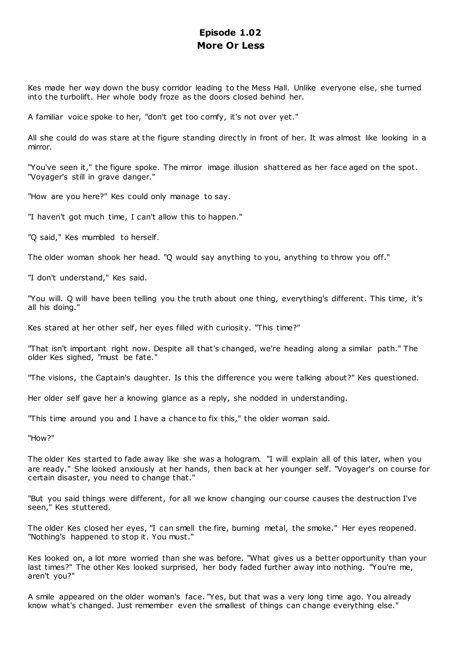# **Episode 1.02 More Or Less**

Kes made her way down the busy corridor leading to the Mess Hall. Unlike everyone else, she turned into the turbolift. Her whole body froze as the doors closed behind her.

A familiar voice spoke to her, "don't get too comfy, it's not over yet."

All she could do was stare at the figure standing directly in front of her. It was almost like looking in a mirror.

"You've seen it," the figure spoke. The mirror image illusion shattered as her face aged on the spot. "Voyager's still in grave danger."

"How are you here?" Kes could only manage to say.

"I haven't got much time, I can't allow this to happen."

"Q said," Kes mumbled to herself.

The older woman shook her head. "Q would say anything to you, anything to throw you off."

"I don't understand," Kes said.

"You will. Q will have been telling you the truth about one thing, everything's different. This time, it's all his doing."

Kes stared at her other self, her eyes filled with curiosity. "This time?"

"That isn't important right now. Despite all that's changed, we're heading along a similar path." The older Kes sighed, "must be fate."

"The visions, the Captain's daughter. Is this the difference you were talking about?" Kes questioned.

Her older self gave her a knowing glance as a reply, she nodded in understanding.

"This time around you and I have a chance to fix this," the older woman said.

"How?"

The older Kes started to fade away like she was a hologram. "I will explain all of this later, when you are ready." She looked anxiously at her hands, then back at her younger self. "Voyager's on course for certain disaster, you need to change that."

"But you said things were different, for all we know changing our course causes the destruction I've seen," Kes stuttered.

The older Kes closed her eyes, "I can smell the fire, burning metal, the smoke." Her eyes reopened. "Nothing's happened to stop it. You must."

Kes looked on, a lot more worried than she was before. "What gives us a better opportunity than your last times?" The other Kes looked surprised, her body faded further away into nothing. "You're me, aren't you?"

A smile appeared on the older woman's face. "Yes, but that was a very long time ago. You already know what's changed. Just remember even the smallest of things can change everything else."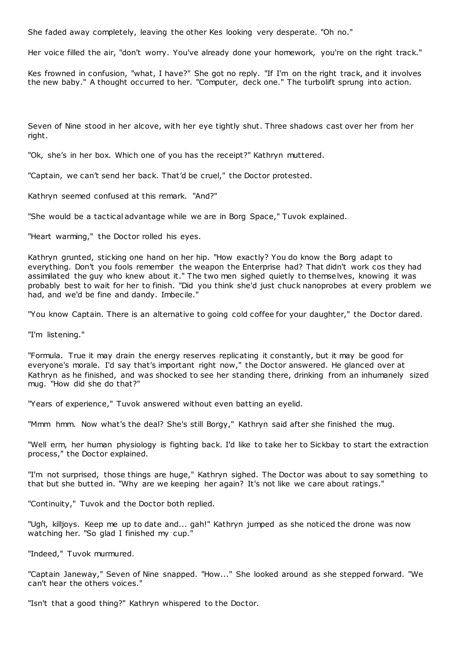She faded away completely, leaving the other Kes looking very desperate. "Oh no."

Her voice filled the air, "don't worry. You've already done your homework, you're on the right track."

Kes frowned in confusion, "what, I have?" She got no reply. "If I'm on the right track, and it involves the new baby." A thought occurred to her. "Computer, deck one." The turbolift sprung into action.

Seven of Nine stood in her alcove, with her eye tightly shut. Three shadows cast over her from her right.

"Ok, she's in her box. Which one of you has the receipt?" Kathryn muttered.

"Captain, we can't send her back. That'd be cruel," the Doctor protested.

Kathryn seemed confused at this remark. "And?"

"She would be a tactical advantage while we are in Borg Space," Tuvok explained.

"Heart warming," the Doctor rolled his eyes.

Kathryn grunted, sticking one hand on her hip. "How exactly? You do know the Borg adapt to everything. Don't you fools remember the weapon the Enterprise had? That didn't work cos they had assimilated the guy who knew about it." The two men sighed quietly to themselves, knowing it was probably best to wait for her to finish. "Did you think she'd just chuck nanoprobes at every problem we had, and we'd be fine and dandy. Imbecile."

"You know Captain. There is an alternative to going cold coffee for your daughter," the Doctor dared.

"I'm listening."

"Formula. True it may drain the energy reserves replicating it constantly, but it may be good for everyone's morale. I'd say that's important right now," the Doctor answered. He glanced over at Kathryn as he finished, and was shocked to see her standing there, drinking from an inhumanely sized mug. "How did she do that?"

"Years of experience," Tuvok answered without even batting an eyelid.

"Mmm hmm. Now what's the deal? She's still Borgy," Kathryn said after she finished the mug.

"Well erm, her human physiology is fighting back. I'd like to take her to Sickbay to start the extraction process," the Doctor explained.

"I'm not surprised, those things are huge," Kathryn sighed. The Doctor was about to say something to that but she butted in. "Why are we keeping her again? It's not like we care about ratings."

"Continuity," Tuvok and the Doctor both replied.

"Ugh, killjoys. Keep me up to date and... gah!" Kathryn jumped as she noticed the drone was now watching her. "So glad I finished my cup."

"Indeed," Tuvok murmured.

"Captain Janeway," Seven of Nine snapped. "How..." She looked around as she stepped forward. "We can't hear the others voices."

"Isn't that a good thing?" Kathryn whispered to the Doctor.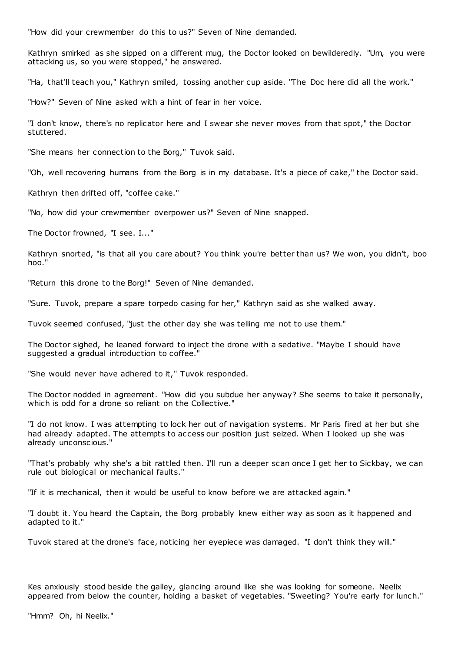"How did your crewmember do this to us?" Seven of Nine demanded.

Kathryn smirked as she sipped on a different mug, the Doctor looked on bewilderedly. "Um, you were attacking us, so you were stopped," he answered.

"Ha, that'll teach you," Kathryn smiled, tossing another cup aside. "The Doc here did all the work."

"How?" Seven of Nine asked with a hint of fear in her voice.

"I don't know, there's no replicator here and I swear she never moves from that spot," the Doctor stuttered.

"She means her connection to the Borg," Tuvok said.

"Oh, well recovering humans from the Borg is in my database. It's a piece of cake," the Doctor said.

Kathryn then drifted off, "coffee cake."

"No, how did your crewmember overpower us?" Seven of Nine snapped.

The Doctor frowned, "I see. I..."

Kathryn snorted, "is that all you care about? You think you're better than us? We won, you didn't, boo hoo."

"Return this drone to the Borg!" Seven of Nine demanded.

"Sure. Tuvok, prepare a spare torpedo casing for her," Kathryn said as she walked away.

Tuvok seemed confused, "just the other day she was telling me not to use them."

The Doctor sighed, he leaned forward to inject the drone with a sedative. "Maybe I should have suggested a gradual introduction to coffee."

"She would never have adhered to it," Tuvok responded.

The Doctor nodded in agreement. "How did you subdue her anyway? She seems to take it personally, which is odd for a drone so reliant on the Collective."

"I do not know. I was attempting to lock her out of navigation systems. Mr Paris fired at her but she had already adapted. The attempts to access our position just seized. When I looked up she was already unconscious."

"That's probably why she's a bit rattled then. I'll run a deeper scan once I get her to Sickbay, we can rule out biological or mechanical faults."

"If it is mechanical, then it would be useful to know before we are attacked again."

"I doubt it. You heard the Captain, the Borg probably knew either way as soon as it happened and adapted to it."

Tuvok stared at the drone's face, noticing her eyepiece was damaged. "I don't think they will."

Kes anxiously stood beside the galley, glancing around like she was looking for someone. Neelix appeared from below the counter, holding a basket of vegetables. "Sweeting? You're early for lunch."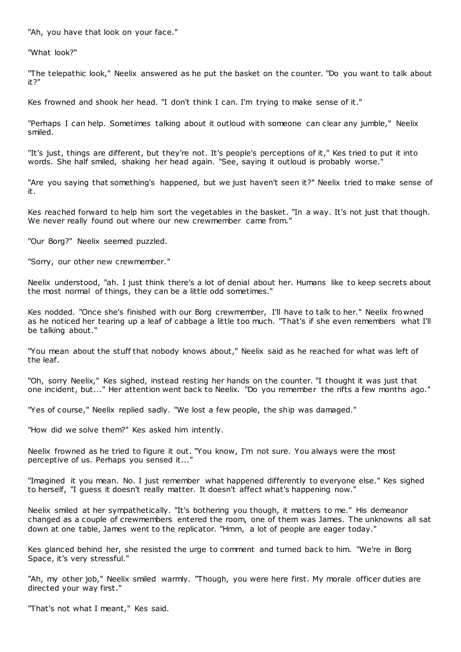"Ah, you have that look on your face."

"What look?"

"The telepathic look," Neelix answered as he put the basket on the counter. "Do you want to talk about it?"

Kes frowned and shook her head. "I don't think I can. I'm trying to make sense of it."

"Perhaps I can help. Sometimes talking about it outloud with someone can clear any jumble," Neelix smiled.

"It's just, things are different, but they're not. It's people's perceptions of it," Kes tried to put it into words. She half smiled, shaking her head again. "See, saying it outloud is probably worse."

"Are you saying that something's happened, but we just haven't seen it?" Neelix tried to make sense of it.

Kes reached forward to help him sort the vegetables in the basket. "In a way. It's not just that though. We never really found out where our new crewmember came from.

"Our Borg?" Neelix seemed puzzled.

"Sorry, our other new crewmember."

Neelix understood, "ah. I just think there's a lot of denial about her. Humans like to keep secrets about the most normal of things, they can be a little odd sometimes."

Kes nodded. "Once she's finished with our Borg crewmember, I'll have to talk to her." Neelix frowned as he noticed her tearing up a leaf of cabbage a little too much. "That's if she even remembers what I'll be talking about."

"You mean about the stuff that nobody knows about," Neelix said as he reached for what was left of the leaf.

"Oh, sorry Neelix," Kes sighed, instead resting her hands on the counter. "I thought it was just that one incident, but..." Her attention went back to Neelix. "Do you remember the rifts a few months ago."

"Yes of course," Neelix replied sadly. "We lost a few people, the ship was damaged."

"How did we solve them?" Kes asked him intently.

Neelix frowned as he tried to figure it out. "You know, I'm not sure. You always were the most perceptive of us. Perhaps you sensed it...'

"Imagined it you mean. No. I just remember what happened differently to everyone else." Kes sighed to herself, "I guess it doesn't really matter. It doesn't affect what's happening now."

Neelix smiled at her sympathetically. "It's bothering you though, it matters to me." His demeanor changed as a couple of crewmembers entered the room, one of them was James. The unknowns all sat down at one table, James went to the replicator. "Hmm, a lot of people are eager today."

Kes glanced behind her, she resisted the urge to comment and turned back to him. "We're in Borg Space, it's very stressful."

"Ah, my other job," Neelix smiled warmly. "Though, you were here first. My morale officer duties are directed your way first."

"That's not what I meant," Kes said.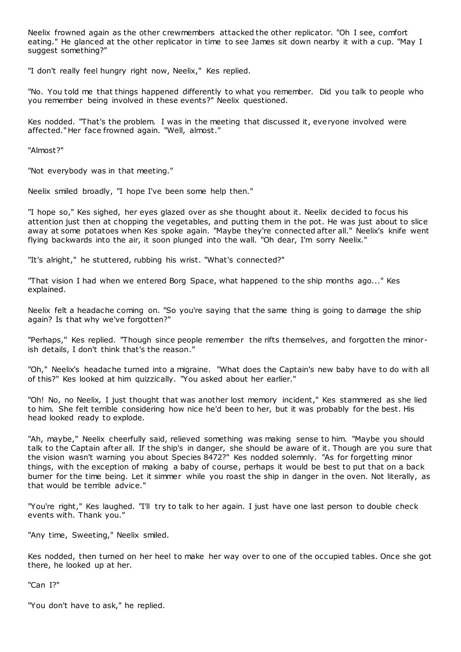Neelix frowned again as the other crewmembers attacked the other replicator. "Oh I see, comfort eating." He glanced at the other replicator in time to see James sit down nearby it with a cup. "May I suggest something?"

"I don't really feel hungry right now, Neelix," Kes replied.

"No. You told me that things happened differently to what you remember. Did you talk to people who you remember being involved in these events?" Neelix questioned.

Kes nodded. "That's the problem. I was in the meeting that discussed it, everyone involved were affected." Her face frowned again. "Well, almost."

"Almost?"

"Not everybody was in that meeting."

Neelix smiled broadly, "I hope I've been some help then."

"I hope so," Kes sighed, her eyes glazed over as she thought about it. Neelix decided to focus his attention just then at chopping the vegetables, and putting them in the pot. He was just about to slice away at some potatoes when Kes spoke again. "Maybe they're connected after all." Neelix's knife went flying backwards into the air, it soon plunged into the wall. "Oh dear, I'm sorry Neelix."

"It's alright," he stuttered, rubbing his wrist. "What's connected?"

"That vision I had when we entered Borg Space, what happened to the ship months ago..." Kes explained.

Neelix felt a headache coming on. "So you're saying that the same thing is going to damage the ship again? Is that why we've forgotten?"

"Perhaps," Kes replied. "Though since people remember the rifts themselves, and forgotten the minorish details, I don't think that's the reason."

"Oh," Neelix's headache turned into a migraine. "What does the Captain's new baby have to do with all of this?" Kes looked at him quizzically. "You asked about her earlier."

"Oh! No, no Neelix, I just thought that was another lost memory incident," Kes stammered as she lied to him. She felt terrible considering how nice he'd been to her, but it was probably for the best. His head looked ready to explode.

"Ah, maybe," Neelix cheerfully said, relieved something was making sense to him. "Maybe you should talk to the Captain after all. If the ship's in danger, she should be aware of it. Though are you sure that the vision wasn't warning you about Species 8472?" Kes nodded solemnly. "As for forgetting minor things, with the exception of making a baby of course, perhaps it would be best to put that on a back burner for the time being. Let it simmer while you roast the ship in danger in the oven. Not literally, as that would be terrible advice."

"You're right," Kes laughed. "I'll try to talk to her again. I just have one last person to double check events with. Thank you."

"Any time, Sweeting," Neelix smiled.

Kes nodded, then turned on her heel to make her way over to one of the occupied tables. Once she got there, he looked up at her.

"Can I?"

"You don't have to ask," he replied.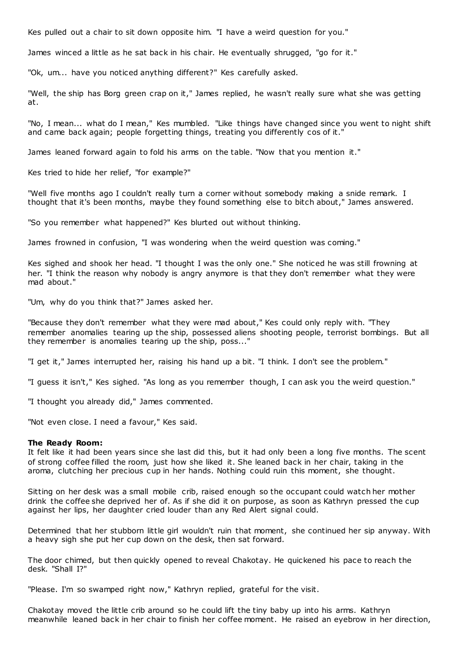Kes pulled out a chair to sit down opposite him. "I have a weird question for you."

James winced a little as he sat back in his chair. He eventually shrugged, "go for it."

"Ok, um... have you noticed anything different?" Kes carefully asked.

"Well, the ship has Borg green crap on it," James replied, he wasn't really sure what she was getting at.

"No, I mean... what do I mean," Kes mumbled. "Like things have changed since you went to night shift and came back again; people forgetting things, treating you differently cos of it."

James leaned forward again to fold his arms on the table. "Now that you mention it."

Kes tried to hide her relief, "for example?"

"Well five months ago I couldn't really turn a corner without somebody making a snide remark. I thought that it's been months, maybe they found something else to bitch about," James answered.

"So you remember what happened?" Kes blurted out without thinking.

James frowned in confusion, "I was wondering when the weird question was coming."

Kes sighed and shook her head. "I thought I was the only one." She noticed he was still frowning at her. "I think the reason why nobody is angry anymore is that they don't remember what they were mad about."

"Um, why do you think that?" James asked her.

"Because they don't remember what they were mad about," Kes could only reply with. "They remember anomalies tearing up the ship, possessed aliens shooting people, terrorist bombings. But all they remember is anomalies tearing up the ship, poss..."

"I get it," James interrupted her, raising his hand up a bit. "I think. I don't see the problem."

"I guess it isn't," Kes sighed. "As long as you remember though, I can ask you the weird question."

"I thought you already did," James commented.

"Not even close. I need a favour," Kes said.

#### **The Ready Room:**

It felt like it had been years since she last did this, but it had only been a long five months. The scent of strong coffee filled the room, just how she liked it. She leaned back in her chair, taking in the aroma, clutching her precious cup in her hands. Nothing could ruin this moment, she thought.

Sitting on her desk was a small mobile crib, raised enough so the occupant could watch her mother drink the coffee she deprived her of. As if she did it on purpose, as soon as Kathryn pressed the cup against her lips, her daughter cried louder than any Red Alert signal could.

Determined that her stubborn little girl wouldn't ruin that moment, she continued her sip anyway. With a heavy sigh she put her cup down on the desk, then sat forward.

The door chimed, but then quickly opened to reveal Chakotay. He quickened his pace to reach the desk. "Shall I?"

"Please. I'm so swamped right now," Kathryn replied, grateful for the visit.

Chakotay moved the little crib around so he could lift the tiny baby up into his arms. Kathryn meanwhile leaned back in her chair to finish her coffee moment. He raised an eyebrow in her direction,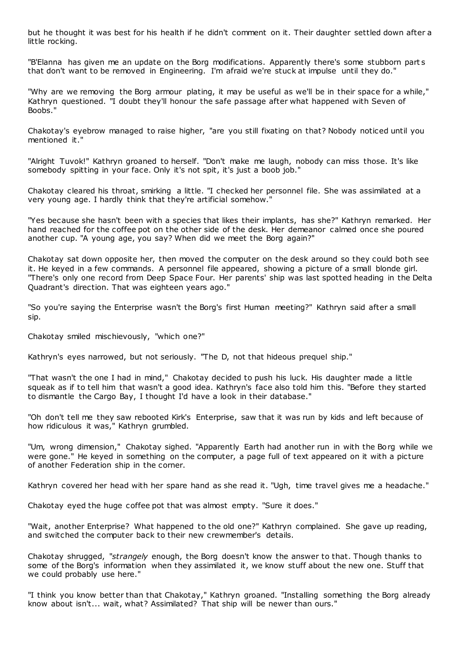but he thought it was best for his health if he didn't comment on it. Their daughter settled down after a little rocking.

"B'Elanna has given me an update on the Borg modifications. Apparently there's some stubborn part s that don't want to be removed in Engineering. I'm afraid we're stuck at impulse until they do."

"Why are we removing the Borg armour plating, it may be useful as we'll be in their space for a while," Kathryn questioned. "I doubt they'll honour the safe passage after what happened with Seven of Boobs."

Chakotay's eyebrow managed to raise higher, "are you still fixating on that? Nobody noticed until you mentioned it."

"Alright Tuvok!" Kathryn groaned to herself. "Don't make me laugh, nobody can miss those. It's like somebody spitting in your face. Only it's not spit, it's just a boob job."

Chakotay cleared his throat, smirking a little. "I checked her personnel file. She was assimilated at a very young age. I hardly think that they're artificial somehow."

"Yes because she hasn't been with a species that likes their implants, has she?" Kathryn remarked. Her hand reached for the coffee pot on the other side of the desk. Her demeanor calmed once she poured another cup. "A young age, you say? When did we meet the Borg again?"

Chakotay sat down opposite her, then moved the computer on the desk around so they could both see it. He keyed in a few commands. A personnel file appeared, showing a picture of a small blonde girl. "There's only one record from Deep Space Four. Her parents' ship was last spotted heading in the Delta Quadrant's direction. That was eighteen years ago."

"So you're saying the Enterprise wasn't the Borg's first Human meeting?" Kathryn said after a small sip.

Chakotay smiled mischievously, "which one?"

Kathryn's eyes narrowed, but not seriously. "The D, not that hideous prequel ship."

"That wasn't the one I had in mind," Chakotay decided to push his luck. His daughter made a little squeak as if to tell him that wasn't a good idea. Kathryn's face also told him this. "Before they started to dismantle the Cargo Bay, I thought I'd have a look in their database."

"Oh don't tell me they saw rebooted Kirk's Enterprise, saw that it was run by kids and left because of how ridiculous it was," Kathryn grumbled.

"Um, wrong dimension," Chakotay sighed. "Apparently Earth had another run in with the Borg while we were gone." He keyed in something on the computer, a page full of text appeared on it with a picture of another Federation ship in the corner.

Kathryn covered her head with her spare hand as she read it. "Ugh, time travel gives me a headache."

Chakotay eyed the huge coffee pot that was almost empty. "Sure it does."

"Wait, another Enterprise? What happened to the old one?" Kathryn complained. She gave up reading, and switched the computer back to their new crewmember's details.

Chakotay shrugged, "*strangely* enough, the Borg doesn't know the answer to that. Though thanks to some of the Borg's information when they assimilated it, we know stuff about the new one. Stuff that we could probably use here."

"I think you know better than that Chakotay," Kathryn groaned. "Installing something the Borg already know about isn't... wait, what? Assimilated? That ship will be newer than ours."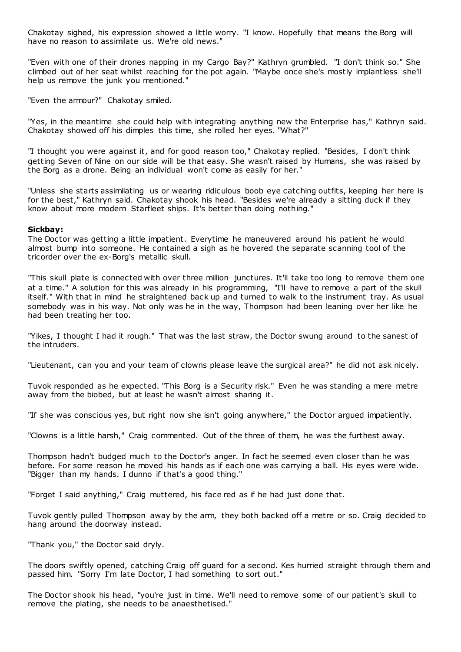Chakotay sighed, his expression showed a little worry. "I know. Hopefully that means the Borg will have no reason to assimilate us. We're old news."

"Even with one of their drones napping in my Cargo Bay?" Kathryn grumbled. "I don't think so." She climbed out of her seat whilst reaching for the pot again. "Maybe once she's mostly implantless she'll help us remove the junk you mentioned."

"Even the armour?" Chakotay smiled.

"Yes, in the meantime she could help with integrating anything new the Enterprise has," Kathryn said. Chakotay showed off his dimples this time, she rolled her eyes. "What?"

"I thought you were against it, and for good reason too," Chakotay replied. "Besides, I don't think getting Seven of Nine on our side will be that easy. She wasn't raised by Humans, she was raised by the Borg as a drone. Being an individual won't come as easily for her."

"Unless she starts assimilating us or wearing ridiculous boob eye catching outfits, keeping her here is for the best," Kathryn said. Chakotay shook his head. "Besides we're already a sitting duck if they know about more modern Starfleet ships. It's better than doing nothing."

### **Sickbay:**

The Doctor was getting a little impatient. Everytime he maneuvered around his patient he would almost bump into someone. He contained a sigh as he hovered the separate scanning tool of the tricorder over the ex-Borg's metallic skull.

"This skull plate is connected with over three million junctures. It'll take too long to remove them one at a time." A solution for this was already in his programming, "I'll have to remove a part of the skull itself." With that in mind he straightened back up and turned to walk to the instrument tray. As usual somebody was in his way. Not only was he in the way, Thompson had been leaning over her like he had been treating her too.

"Yikes, I thought I had it rough." That was the last straw, the Doctor swung around to the sanest of the intruders.

"Lieutenant, can you and your team of clowns please leave the surgical area?" he did not ask nicely.

Tuvok responded as he expected. "This Borg is a Security risk." Even he was standing a mere metre away from the biobed, but at least he wasn't almost sharing it.

"If she was conscious yes, but right now she isn't going anywhere," the Doctor argued impatiently.

"Clowns is a little harsh," Craig commented. Out of the three of them, he was the furthest away.

Thompson hadn't budged much to the Doctor's anger. In fact he seemed even closer than he was before. For some reason he moved his hands as if each one was carrying a ball. His eyes were wide. "Bigger than my hands. I dunno if that's a good thing."

"Forget I said anything," Craig muttered, his face red as if he had just done that.

Tuvok gently pulled Thompson away by the arm, they both backed off a metre or so. Craig decided to hang around the doorway instead.

"Thank you," the Doctor said dryly.

The doors swiftly opened, catching Craig off guard for a second. Kes hurried straight through them and passed him. "Sorry I'm late Doctor, I had something to sort out."

The Doctor shook his head, "you're just in time. We'll need to remove some of our patient's skull to remove the plating, she needs to be anaesthetised."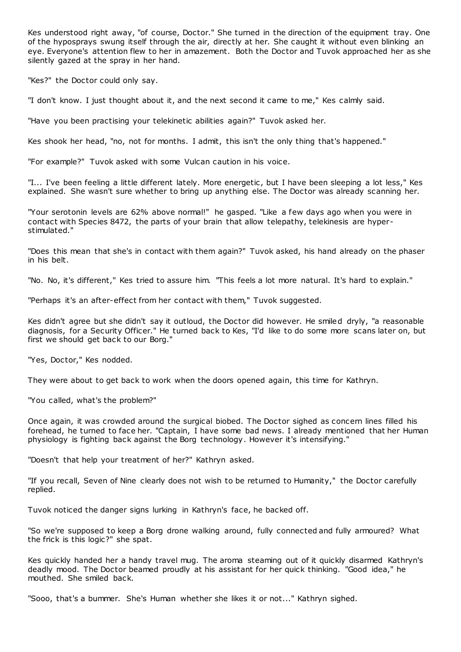Kes understood right away, "of course, Doctor." She turned in the direction of the equipment tray. One of the hyposprays swung itself through the air, directly at her. She caught it without even blinking an eye. Everyone's attention flew to her in amazement. Both the Doctor and Tuvok approached her as she silently gazed at the spray in her hand.

"Kes?" the Doctor could only say.

"I don't know. I just thought about it, and the next second it came to me," Kes calmly said.

"Have you been practising your telekinetic abilities again?" Tuvok asked her.

Kes shook her head, "no, not for months. I admit, this isn't the only thing that's happened."

"For example?" Tuvok asked with some Vulcan caution in his voice.

"I... I've been feeling a little different lately. More energetic , but I have been sleeping a lot less," Kes explained. She wasn't sure whether to bring up anything else. The Doctor was already scanning her.

"Your serotonin levels are 62% above normal!" he gasped. "Like a few days ago when you were in contact with Species 8472, the parts of your brain that allow telepathy, telekinesis are hyperstimulated."

"Does this mean that she's in contact with them again?" Tuvok asked, his hand already on the phaser in his belt.

"No. No, it's different," Kes tried to assure him. "This feels a lot more natural. It's hard to explain."

"Perhaps it's an after-effect from her contact with them," Tuvok suggested.

Kes didn't agree but she didn't say it outloud, the Doctor did however. He smiled dryly, "a reasonable diagnosis, for a Security Officer." He turned back to Kes, "I'd like to do some more scans later on, but first we should get back to our Borg."

"Yes, Doctor," Kes nodded.

They were about to get back to work when the doors opened again, this time for Kathryn.

"You called, what's the problem?"

Once again, it was crowded around the surgical biobed. The Doctor sighed as concern lines filled his forehead, he turned to face her. "Captain, I have some bad news. I already mentioned that her Human physiology is fighting back against the Borg technology. However it's intensifying."

"Doesn't that help your treatment of her?" Kathryn asked.

"If you recall, Seven of Nine clearly does not wish to be returned to Humanity," the Doctor carefully replied.

Tuvok noticed the danger signs lurking in Kathryn's face, he backed off.

"So we're supposed to keep a Borg drone walking around, fully connected and fully armoured? What the frick is this logic?" she spat.

Kes quickly handed her a handy travel mug. The aroma steaming out of it quickly disarmed Kathryn's deadly mood. The Doctor beamed proudly at his assistant for her quick thinking. "Good idea," he mouthed. She smiled back.

"Sooo, that's a bummer. She's Human whether she likes it or not..." Kathryn sighed.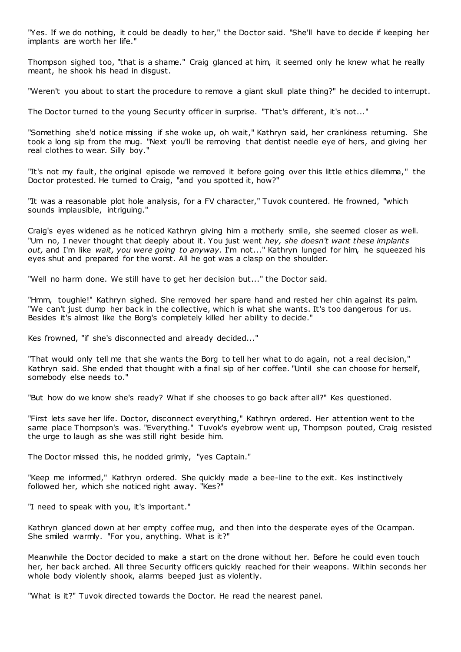"Yes. If we do nothing, it could be deadly to her," the Doctor said. "She'll have to decide if keeping her implants are worth her life."

Thompson sighed too, "that is a shame." Craig glanced at him, it seemed only he knew what he really meant, he shook his head in disgust.

"Weren't you about to start the procedure to remove a giant skull plate thing?" he decided to interrupt.

The Doctor turned to the young Security officer in surprise. "That's different, it's not..."

"Something she'd notice missing if she woke up, oh wait," Kathryn said, her crankiness returning. She took a long sip from the mug. "Next you'll be removing that dentist needle eye of hers, and giving her real clothes to wear. Silly boy."

"It's not my fault, the original episode we removed it before going over this little ethics dilemma," the Doctor protested. He turned to Craig, "and you spotted it, how?"

"It was a reasonable plot hole analysis, for a FV character," Tuvok countered. He frowned, "which sounds implausible, intriguing."

Craig's eyes widened as he noticed Kathryn giving him a motherly smile, she seemed closer as well. "Um no, I never thought that deeply about it. You just went *hey, she doesn't want these implants out,* and I'm like *wait, you were going to anyway.* I'm not..." Kathryn lunged for him, he squeezed his eyes shut and prepared for the worst. All he got was a clasp on the shoulder.

"Well no harm done. We still have to get her decision but..." the Doctor said.

"Hmm, toughie!" Kathryn sighed. She removed her spare hand and rested her chin against its palm. "We can't just dump her back in the collective, which is what she wants. It's too dangerous for us. Besides it's almost like the Borg's completely killed her ability to decide."

Kes frowned, "if she's disconnected and already decided..."

"That would only tell me that she wants the Borg to tell her what to do again, not a real decision," Kathryn said. She ended that thought with a final sip of her coffee. "Until she can choose for herself, somebody else needs to."

"But how do we know she's ready? What if she chooses to go back after all?" Kes questioned.

"First lets save her life. Doctor, disconnect everything," Kathryn ordered. Her attention went to the same place Thompson's was. "Everything." Tuvok's eyebrow went up, Thompson pouted, Craig resisted the urge to laugh as she was still right beside him.

The Doctor missed this, he nodded grimly, "yes Captain."

"Keep me informed," Kathryn ordered. She quickly made a bee-line to the exit. Kes instinctively followed her, which she noticed right away. "Kes?"

"I need to speak with you, it's important."

Kathryn glanced down at her empty coffee mug, and then into the desperate eyes of the Ocampan. She smiled warmly. "For you, anything. What is it?"

Meanwhile the Doctor decided to make a start on the drone without her. Before he could even touch her, her back arched. All three Security officers quickly reached for their weapons. Within seconds her whole body violently shook, alarms beeped just as violently.

"What is it?" Tuvok directed towards the Doctor. He read the nearest panel.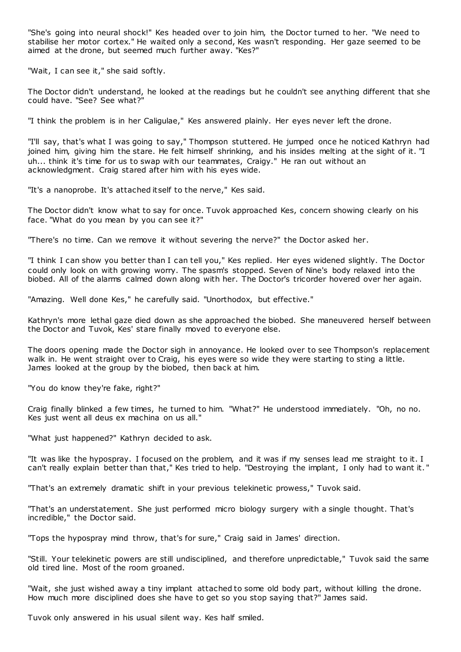"She's going into neural shock!" Kes headed over to join him, the Doctor turned to her. "We need to stabilise her motor cortex." He waited only a second, Kes wasn't responding. Her gaze seemed to be aimed at the drone, but seemed much further away. "Kes?"

"Wait, I can see it," she said softly.

The Doctor didn't understand, he looked at the readings but he couldn't see anything different that she could have. "See? See what?"

"I think the problem is in her Caligulae," Kes answered plainly. Her eyes never left the drone.

"I'll say, that's what I was going to say," Thompson stuttered. He jumped once he noticed Kathryn had joined him, giving him the stare. He felt himself shrinking, and his insides melting at the sight of it. "I uh... think it's time for us to swap with our teammates, Craigy." He ran out without an acknowledgment. Craig stared after him with his eyes wide.

"It's a nanoprobe. It's attached itself to the nerve," Kes said.

The Doctor didn't know what to say for once. Tuvok approached Kes, concern showing clearly on his face. "What do you mean by you can see it?"

"There's no time. Can we remove it without severing the nerve?" the Doctor asked her.

"I think I can show you better than I can tell you," Kes replied. Her eyes widened slightly. The Doctor could only look on with growing worry. The spasm's stopped. Seven of Nine's body relaxed into the biobed. All of the alarms calmed down along with her. The Doctor's tricorder hovered over her again.

"Amazing. Well done Kes," he carefully said. "Unorthodox, but effective."

Kathryn's more lethal gaze died down as she approached the biobed. She maneuvered herself between the Doctor and Tuvok, Kes' stare finally moved to everyone else.

The doors opening made the Doctor sigh in annoyance. He looked over to see Thompson's replacement walk in. He went straight over to Craig, his eyes were so wide they were starting to sting a little. James looked at the group by the biobed, then back at him.

"You do know they're fake, right?"

Craig finally blinked a few times, he turned to him. "What?" He understood immediately. "Oh, no no. Kes just went all deus ex machina on us all."

"What just happened?" Kathryn decided to ask.

"It was like the hypospray. I focused on the problem, and it was if my senses lead me straight to it. I can't really explain better than that," Kes tried to help. "Destroying the implant, I only had to want it. "

"That's an extremely dramatic shift in your previous telekinetic prowess," Tuvok said.

"That's an understatement. She just performed micro biology surgery with a single thought. That's incredible," the Doctor said.

"Tops the hypospray mind throw, that's for sure," Craig said in James' direction.

"Still. Your telekinetic powers are still undisciplined, and therefore unpredictable," Tuvok said the same old tired line. Most of the room groaned.

"Wait, she just wished away a tiny implant attached to some old body part, without killing the drone. How much more disciplined does she have to get so you stop saying that?" James said.

Tuvok only answered in his usual silent way. Kes half smiled.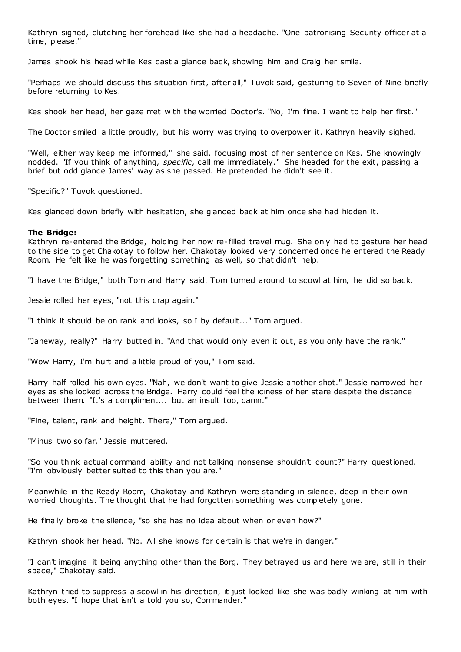Kathryn sighed, clutching her forehead like she had a headache. "One patronising Security officer at a time, please."

James shook his head while Kes cast a glance back, showing him and Craig her smile.

"Perhaps we should discuss this situation first, after all," Tuvok said, gesturing to Seven of Nine briefly before returning to Kes.

Kes shook her head, her gaze met with the worried Doctor's. "No, I'm fine. I want to help her first."

The Doctor smiled a little proudly, but his worry was trying to overpower it. Kathryn heavily sighed.

"Well, either way keep me informed," she said, focusing most of her sentence on Kes. She knowingly nodded. "If you think of anything, *specific*, call me immediately." She headed for the exit, passing a brief but odd glance James' way as she passed. He pretended he didn't see it.

"Specific?" Tuvok questioned.

Kes glanced down briefly with hesitation, she glanced back at him once she had hidden it.

# **The Bridge:**

Kathryn re-entered the Bridge, holding her now re-filled travel mug. She only had to gesture her head to the side to get Chakotay to follow her. Chakotay looked very concerned once he entered the Ready Room. He felt like he was forgetting something as well, so that didn't help.

"I have the Bridge," both Tom and Harry said. Tom turned around to scowl at him, he did so back.

Jessie rolled her eyes, "not this crap again."

"I think it should be on rank and looks, so I by default..." Tom argued.

"Janeway, really?" Harry butted in. "And that would only even it out, as you only have the rank."

"Wow Harry, I'm hurt and a little proud of you," Tom said.

Harry half rolled his own eyes. "Nah, we don't want to give Jessie another shot." Jessie narrowed her eyes as she looked across the Bridge. Harry could feel the iciness of her stare despite the distance between them. "It's a compliment... but an insult too, damn."

"Fine, talent, rank and height. There," Tom argued.

"Minus two so far," Jessie muttered.

"So you think actual command ability and not talking nonsense shouldn't count?" Harry questioned. "I'm obviously better suited to this than you are."

Meanwhile in the Ready Room, Chakotay and Kathryn were standing in silence, deep in their own worried thoughts. The thought that he had forgotten something was completely gone.

He finally broke the silence, "so she has no idea about when or even how?"

Kathryn shook her head. "No. All she knows for certain is that we're in danger."

"I can't imagine it being anything other than the Borg. They betrayed us and here we are, still in their space," Chakotay said.

Kathryn tried to suppress a scowl in his direction, it just looked like she was badly winking at him with both eyes. "I hope that isn't a told you so, Commander."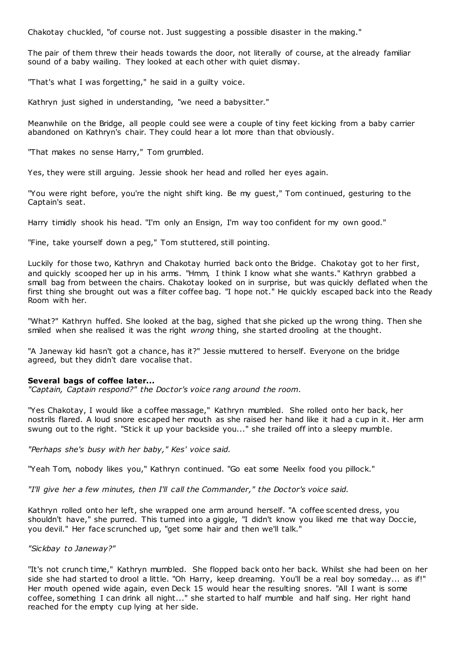Chakotay chuckled, "of course not. Just suggesting a possible disaster in the making."

The pair of them threw their heads towards the door, not literally of course, at the already familiar sound of a baby wailing. They looked at each other with quiet dismay.

"That's what I was forgetting," he said in a guilty voice.

Kathryn just sighed in understanding, "we need a babysitter."

Meanwhile on the Bridge, all people could see were a couple of tiny feet kicking from a baby carrier abandoned on Kathryn's chair. They could hear a lot more than that obviously.

"That makes no sense Harry," Tom grumbled.

Yes, they were still arguing. Jessie shook her head and rolled her eyes again.

"You were right before, you're the night shift king. Be my guest," Tom continued, gesturing to the Captain's seat.

Harry timidly shook his head. "I'm only an Ensign, I'm way too confident for my own good."

"Fine, take yourself down a peg," Tom stuttered, still pointing.

Luckily for those two, Kathryn and Chakotay hurried back onto the Bridge. Chakotay got to her first, and quickly scooped her up in his arms. "Hmm, I think I know what she wants." Kathryn grabbed a small bag from between the chairs. Chakotay looked on in surprise, but was quickly deflated when the first thing she brought out was a filter coffee bag. "I hope not." He quickly escaped back into the Ready Room with her.

"What?" Kathryn huffed. She looked at the bag, sighed that she picked up the wrong thing. Then she smiled when she realised it was the right *wrong* thing, she started drooling at the thought.

"A Janeway kid hasn't got a chance, has it?" Jessie muttered to herself. Everyone on the bridge agreed, but they didn't dare vocalise that.

# **Several bags of coffee later...**

*"Captain, Captain respond?" the Doctor's voice rang around the room.*

"Yes Chakotay, I would like a coffee massage," Kathryn mumbled. She rolled onto her back, her nostrils flared. A loud snore escaped her mouth as she raised her hand like it had a cup in it. Her arm swung out to the right. "Stick it up your backside you..." she trailed off into a sleepy mumble.

*"Perhaps she's busy with her baby," Kes' voice said.*

"Yeah Tom, nobody likes you," Kathryn continued. "Go eat some Neelix food you pillock."

*"I'll give her a few minutes, then I'll call the Commander," the Doctor's voice said.*

Kathryn rolled onto her left, she wrapped one arm around herself. "A coffee scented dress, you shouldn't have," she purred. This turned into a giggle, "I didn't know you liked me that way Doccie, you devil." Her face scrunched up, "get some hair and then we'll talk."

# *"Sickbay to Janeway?"*

"It's not crunch time," Kathryn mumbled. She flopped back onto her back. Whilst she had been on her side she had started to drool a little. "Oh Harry, keep dreaming. You'll be a real boy someday... as if!" Her mouth opened wide again, even Deck 15 would hear the resulting snores. "All I want is some coffee, something I can drink all night..." she started to half mumble and half sing. Her right hand reached for the empty cup lying at her side.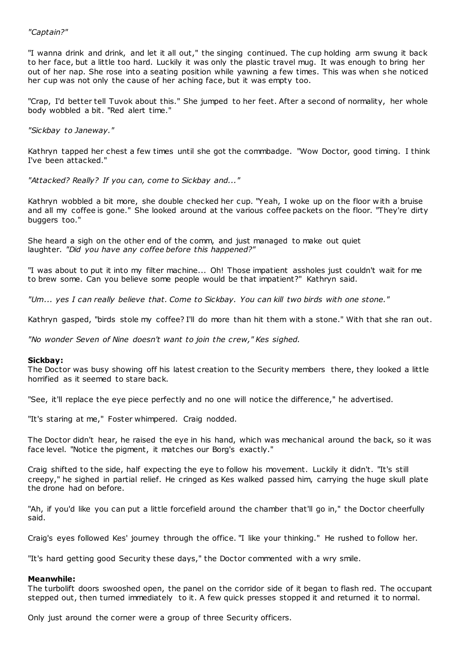# *"Captain?"*

"I wanna drink and drink, and let it all out," the singing continued. The cup holding arm swung it back to her face, but a little too hard. Luckily it was only the plastic travel mug. It was enough to bring her out of her nap. She rose into a seating position while yawning a few times. This was when she noticed her cup was not only the cause of her aching face, but it was empty too.

"Crap, I'd better tell Tuvok about this." She jumped to her feet. After a second of normality, her whole body wobbled a bit. "Red alert time."

# *"Sickbay to Janeway."*

Kathryn tapped her chest a few times until she got the commbadge. "Wow Doctor, good timing. I think I've been attacked."

*"Attacked? Really? If you can, come to Sickbay and..."*

Kathryn wobbled a bit more, she double checked her cup. "Yeah, I woke up on the floor w ith a bruise and all my coffee is gone." She looked around at the various coffee packets on the floor. "They're dirty buggers too."

She heard a sigh on the other end of the comm, and just managed to make out quiet laughter. *"Did you have any coffee before this happened?"*

"I was about to put it into my filter machine... Oh! Those impatient assholes just couldn't wait for me to brew some. Can you believe some people would be that impatient?" Kathryn said.

*"Um... yes I can really believe that. Come to Sickbay. You can kill two birds with one stone."*

Kathryn gasped, "birds stole my coffee? I'll do more than hit them with a stone." With that she ran out.

*"No wonder Seven of Nine doesn't want to join the crew," Kes sighed.*

# **Sickbay:**

The Doctor was busy showing off his latest creation to the Security members there, they looked a little horrified as it seemed to stare back.

"See, it'll replace the eye piece perfectly and no one will notice the difference," he advertised.

"It's staring at me," Foster whimpered. Craig nodded.

The Doctor didn't hear, he raised the eye in his hand, which was mechanical around the back, so it was face level. "Notice the pigment, it matches our Borg's exactly."

Craig shifted to the side, half expecting the eye to follow his movement. Luckily it didn't. "It's still creepy," he sighed in partial relief. He cringed as Kes walked passed him, carrying the huge skull plate the drone had on before.

"Ah, if you'd like you can put a little forcefield around the chamber that'll go in," the Doctor cheerfully said.

Craig's eyes followed Kes' journey through the office. "I like your thinking." He rushed to follow her.

"It's hard getting good Security these days," the Doctor commented with a wry smile.

# **Meanwhile:**

The turbolift doors swooshed open, the panel on the corridor side of it began to flash red. The occupant stepped out, then turned immediately to it. A few quick presses stopped it and returned it to normal.

Only just around the corner were a group of three Security officers.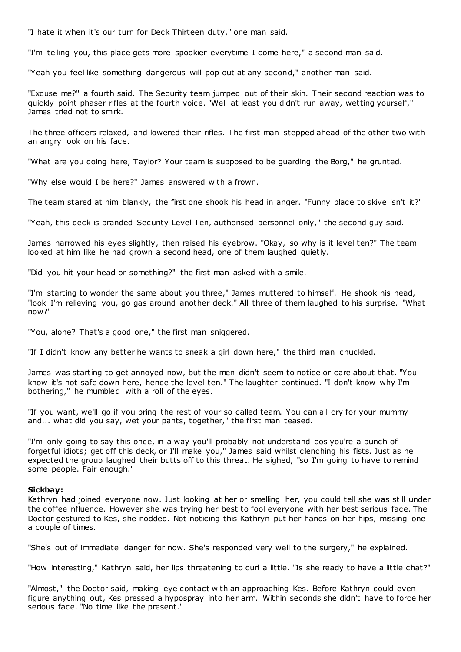"I hate it when it's our turn for Deck Thirteen duty," one man said.

"I'm telling you, this place gets more spookier everytime I come here," a second man said.

"Yeah you feel like something dangerous will pop out at any second," another man said.

"Excuse me?" a fourth said. The Security team jumped out of their skin. Their second reaction was to quickly point phaser rifles at the fourth voice. "Well at least you didn't run away, wetting yourself," James tried not to smirk.

The three officers relaxed, and lowered their rifles. The first man stepped ahead of the other two with an angry look on his face.

"What are you doing here, Taylor? Your team is supposed to be guarding the Borg," he grunted.

"Why else would I be here?" James answered with a frown.

The team stared at him blankly, the first one shook his head in anger. "Funny place to skive isn't it?"

"Yeah, this deck is branded Security Level Ten, authorised personnel only," the second guy said.

James narrowed his eyes slightly, then raised his eyebrow. "Okay, so why is it level ten?" The team looked at him like he had grown a second head, one of them laughed quietly.

"Did you hit your head or something?" the first man asked with a smile.

"I'm starting to wonder the same about you three," James muttered to himself. He shook his head, "look I'm relieving you, go gas around another deck." All three of them laughed to his surprise. "What now?"

"You, alone? That's a good one," the first man sniggered.

"If I didn't know any better he wants to sneak a girl down here," the third man chuckled.

James was starting to get annoyed now, but the men didn't seem to notice or care about that. "You know it's not safe down here, hence the level ten." The laughter continued. "I don't know why I'm bothering," he mumbled with a roll of the eyes.

"If you want, we'll go if you bring the rest of your so called team. You can all cry for your mummy and... what did you say, wet your pants, together," the first man teased.

"I'm only going to say this once, in a way you'll probably not understand cos you're a bunch of forgetful idiots; get off this deck, or I'll make you," James said whilst clenching his fists. Just as he expected the group laughed their butts off to this threat. He sighed, "so I'm going to have to remind some people. Fair enough."

#### **Sickbay:**

Kathryn had joined everyone now. Just looking at her or smelling her, you could tell she was still under the coffee influence. However she was trying her best to fool everyone with her best serious face. The Doctor gestured to Kes, she nodded. Not noticing this Kathryn put her hands on her hips, missing one a couple of times.

"She's out of immediate danger for now. She's responded very well to the surgery," he explained.

"How interesting," Kathryn said, her lips threatening to curl a little. "Is she ready to have a little chat?"

"Almost," the Doctor said, making eye contact with an approaching Kes. Before Kathryn could even figure anything out, Kes pressed a hypospray into her arm. Within seconds she didn't have to force her serious face. "No time like the present."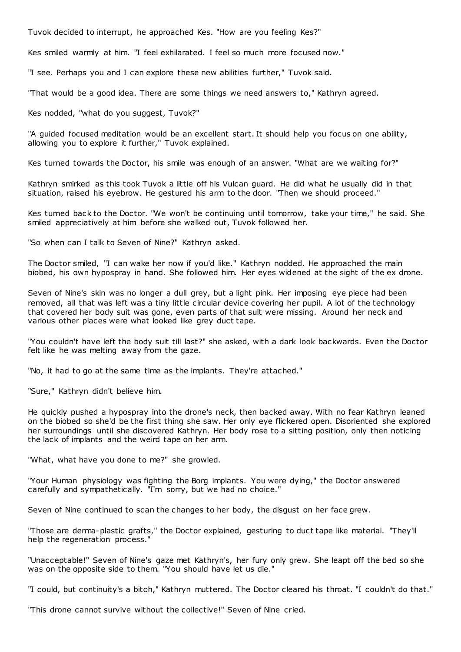Tuvok decided to interrupt, he approached Kes. "How are you feeling Kes?"

Kes smiled warmly at him. "I feel exhilarated. I feel so much more focused now."

"I see. Perhaps you and I can explore these new abilities further," Tuvok said.

"That would be a good idea. There are some things we need answers to," Kathryn agreed.

Kes nodded, "what do you suggest, Tuvok?"

"A guided focused meditation would be an excellent start. It should help you focus on one ability, allowing you to explore it further," Tuvok explained.

Kes turned towards the Doctor, his smile was enough of an answer. "What are we waiting for?"

Kathryn smirked as this took Tuvok a little off his Vulcan guard. He did what he usually did in that situation, raised his eyebrow. He gestured his arm to the door. "Then we should proceed."

Kes turned back to the Doctor. "We won't be continuing until tomorrow, take your time," he said. She smiled appreciatively at him before she walked out, Tuvok followed her.

"So when can I talk to Seven of Nine?" Kathryn asked.

The Doctor smiled, "I can wake her now if you'd like." Kathryn nodded. He approached the main biobed, his own hypospray in hand. She followed him. Her eyes widened at the sight of the ex drone.

Seven of Nine's skin was no longer a dull grey, but a light pink. Her imposing eye piece had been removed, all that was left was a tiny little circular device covering her pupil. A lot of the technology that covered her body suit was gone, even parts of that suit were missing. Around her neck and various other places were what looked like grey duct tape.

"You couldn't have left the body suit till last?" she asked, with a dark look backwards. Even the Doctor felt like he was melting away from the gaze.

"No, it had to go at the same time as the implants. They're attached."

"Sure," Kathryn didn't believe him.

He quickly pushed a hypospray into the drone's neck, then backed away. With no fear Kathryn leaned on the biobed so she'd be the first thing she saw. Her only eye flickered open. Disoriented she explored her surroundings until she discovered Kathryn. Her body rose to a sitting position, only then noticing the lack of implants and the weird tape on her arm.

"What, what have you done to me?" she growled.

"Your Human physiology was fighting the Borg implants. You were dying," the Doctor answered carefully and sympathetically. "I'm sorry, but we had no choice."

Seven of Nine continued to scan the changes to her body, the disgust on her face grew.

"Those are derma-plastic grafts," the Doctor explained, gesturing to duct tape like material. "They'll help the regeneration process."

"Unacceptable!" Seven of Nine's gaze met Kathryn's, her fury only grew. She leapt off the bed so she was on the opposite side to them. "You should have let us die."

"I could, but continuity's a bitch," Kathryn muttered. The Doctor cleared his throat. "I couldn't do that."

"This drone cannot survive without the collective!" Seven of Nine cried.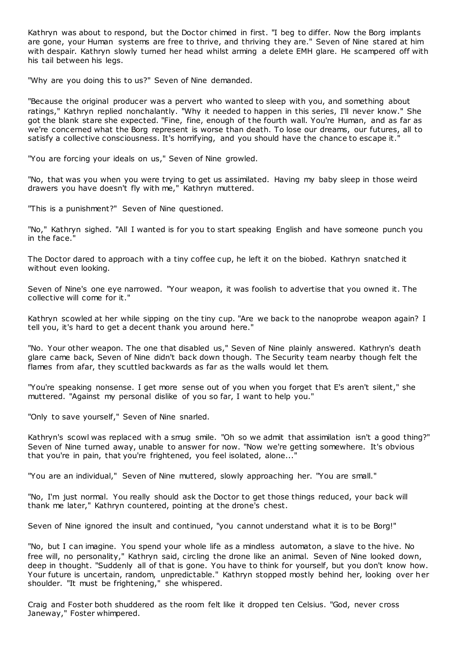Kathryn was about to respond, but the Doctor chimed in first. "I beg to differ. Now the Borg implants are gone, your Human systems are free to thrive, and thriving they are." Seven of Nine stared at him with despair. Kathryn slowly turned her head whilst arming a delete EMH glare. He scampered off with his tail between his legs.

"Why are you doing this to us?" Seven of Nine demanded.

"Because the original producer was a pervert who wanted to sleep with you, and something about ratings," Kathryn replied nonchalantly. "Why it needed to happen in this series, I'll never know." She got the blank stare she expected. "Fine, fine, enough of the fourth wall. You're Human, and as far as we're concerned what the Borg represent is worse than death. To lose our dreams, our futures, all to satisfy a collective consciousness. It's horrifying, and you should have the chance to escape it.

"You are forcing your ideals on us," Seven of Nine growled.

"No, that was you when you were trying to get us assimilated. Having my baby sleep in those weird drawers you have doesn't fly with me," Kathryn muttered.

"This is a punishment?" Seven of Nine questioned.

"No," Kathryn sighed. "All I wanted is for you to start speaking English and have someone punch you in the face."

The Doctor dared to approach with a tiny coffee cup, he left it on the biobed. Kathryn snatched it without even looking.

Seven of Nine's one eye narrowed. "Your weapon, it was foolish to advertise that you owned it. The collective will come for it."

Kathryn scowled at her while sipping on the tiny cup. "Are we back to the nanoprobe weapon again? I tell you, it's hard to get a decent thank you around here."

"No. Your other weapon. The one that disabled us," Seven of Nine plainly answered. Kathryn's death glare came back, Seven of Nine didn't back down though. The Security team nearby though felt the flames from afar, they scuttled backwards as far as the walls would let them.

"You're speaking nonsense. I get more sense out of you when you forget that E's aren't silent," she muttered. "Against my personal dislike of you so far, I want to help you."

"Only to save yourself," Seven of Nine snarled.

Kathryn's scowl was replaced with a smug smile. "Oh so we admit that assimilation isn't a good thing?" Seven of Nine turned away, unable to answer for now. "Now we're getting somewhere. It's obvious that you're in pain, that you're frightened, you feel isolated, alone..."

"You are an individual," Seven of Nine muttered, slowly approaching her. "You are small."

"No, I'm just normal. You really should ask the Doctor to get those things reduced, your back will thank me later," Kathryn countered, pointing at the drone's chest.

Seven of Nine ignored the insult and continued, "you cannot understand what it is to be Borg!"

"No, but I can imagine. You spend your whole life as a mindless automaton, a slave to the hive. No free will, no personality," Kathryn said, circling the drone like an animal. Seven of Nine looked down, deep in thought. "Suddenly all of that is gone. You have to think for yourself, but you don't know how. Your future is uncertain, random, unpredictable." Kathryn stopped mostly behind her, looking over her shoulder. "It must be frightening," she whispered.

Craig and Foster both shuddered as the room felt like it dropped ten Celsius. "God, never cross Janeway," Foster whimpered.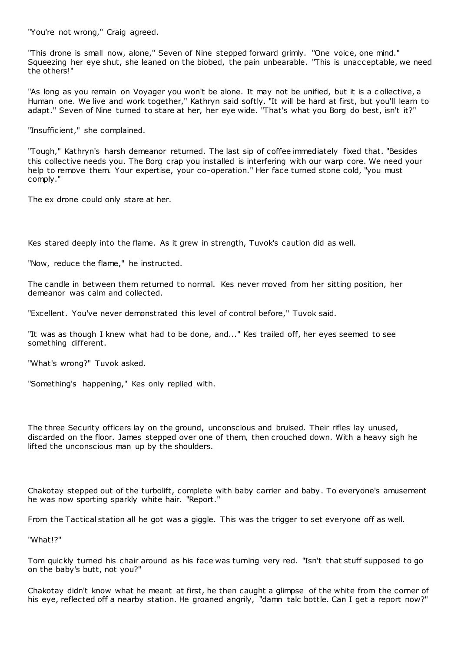"You're not wrong," Craig agreed.

"This drone is small now, alone," Seven of Nine stepped forward grimly. "One voice, one mind." Squeezing her eye shut, she leaned on the biobed, the pain unbearable. "This is unacceptable, we need the others!"

"As long as you remain on Voyager you won't be alone. It may not be unified, but it is a c ollective, a Human one. We live and work together," Kathryn said softly. "It will be hard at first, but you'll learn to adapt." Seven of Nine turned to stare at her, her eye wide. "That's what you Borg do best, isn't it?"

"Insufficient," she complained.

"Tough," Kathryn's harsh demeanor returned. The last sip of coffee immediately fixed that. "Besides this collective needs you. The Borg crap you installed is interfering with our warp core. We need your help to remove them. Your expertise, your co-operation." Her face turned stone cold, "you must comply."

The ex drone could only stare at her.

Kes stared deeply into the flame. As it grew in strength, Tuvok's caution did as well.

"Now, reduce the flame," he instructed.

The candle in between them returned to normal. Kes never moved from her sitting position, her demeanor was calm and collected.

"Excellent. You've never demonstrated this level of control before," Tuvok said.

"It was as though I knew what had to be done, and..." Kes trailed off, her eyes seemed to see something different.

"What's wrong?" Tuvok asked.

"Something's happening," Kes only replied with.

The three Security officers lay on the ground, unconscious and bruised. Their rifles lay unused, discarded on the floor. James stepped over one of them, then crouched down. With a heavy sigh he lifted the unconscious man up by the shoulders.

Chakotay stepped out of the turbolift, complete with baby carrier and baby. To everyone's amusement he was now sporting sparkly white hair. "Report."

From the Tactical station all he got was a giggle. This was the trigger to set everyone off as well.

"What!?"

Tom quickly turned his chair around as his face was turning very red. "Isn't that stuff supposed to go on the baby's butt, not you?"

Chakotay didn't know what he meant at first, he then caught a glimpse of the white from the corner of his eye, reflected off a nearby station. He groaned angrily, "damn talc bottle. Can I get a report now?"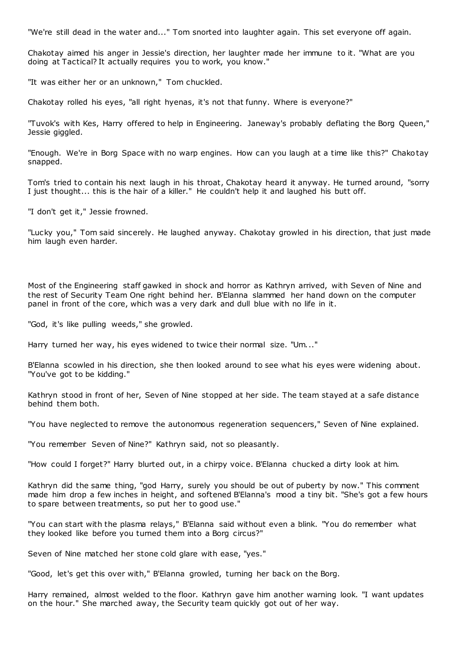"We're still dead in the water and..." Tom snorted into laughter again. This set everyone off again.

Chakotay aimed his anger in Jessie's direction, her laughter made her immune to it. "What are you doing at Tactical? It actually requires you to work, you know."

"It was either her or an unknown," Tom chuckled.

Chakotay rolled his eyes, "all right hyenas, it's not that funny. Where is everyone?"

"Tuvok's with Kes, Harry offered to help in Engineering. Janeway's probably deflating the Borg Queen," Jessie giggled.

"Enough. We're in Borg Space with no warp engines. How can you laugh at a time like this?" Chakotay snapped.

Tom's tried to contain his next laugh in his throat, Chakotay heard it anyway. He turned around, "sorry I just thought... this is the hair of a killer." He couldn't help it and laughed his butt off.

"I don't get it," Jessie frowned.

"Lucky you," Tom said sincerely. He laughed anyway. Chakotay growled in his direction, that just made him laugh even harder.

Most of the Engineering staff gawked in shock and horror as Kathryn arrived, with Seven of Nine and the rest of Security Team One right behind her. B'Elanna slammed her hand down on the computer panel in front of the core, which was a very dark and dull blue with no life in it.

"God, it's like pulling weeds," she growled.

Harry turned her way, his eyes widened to twice their normal size. "Um..."

B'Elanna scowled in his direction, she then looked around to see what his eyes were widening about. "You've got to be kidding."

Kathryn stood in front of her, Seven of Nine stopped at her side. The team stayed at a safe distance behind them both.

"You have neglected to remove the autonomous regeneration sequencers," Seven of Nine explained.

"You remember Seven of Nine?" Kathryn said, not so pleasantly.

"How could I forget?" Harry blurted out, in a chirpy voice. B'Elanna chucked a dirty look at him.

Kathryn did the same thing, "god Harry, surely you should be out of puberty by now." This comment made him drop a few inches in height, and softened B'Elanna's mood a tiny bit. "She's got a few hours to spare between treatments, so put her to good use."

"You can start with the plasma relays," B'Elanna said without even a blink. "You do remember what they looked like before you turned them into a Borg circus?"

Seven of Nine matched her stone cold glare with ease, "yes."

"Good, let's get this over with," B'Elanna growled, turning her back on the Borg.

Harry remained, almost welded to the floor. Kathryn gave him another warning look. "I want updates on the hour." She marched away, the Security team quickly got out of her way.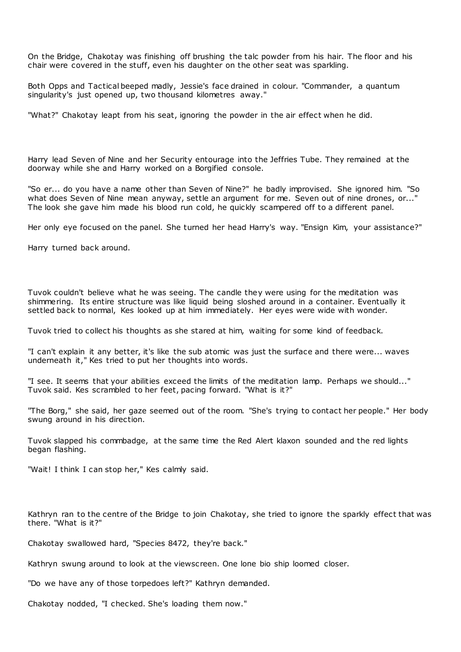On the Bridge, Chakotay was finishing off brushing the talc powder from his hair. The floor and his chair were covered in the stuff, even his daughter on the other seat was sparkling.

Both Opps and Tactical beeped madly, Jessie's face drained in colour. "Commander, a quantum singularity's just opened up, two thousand kilometres away."

"What?" Chakotay leapt from his seat, ignoring the powder in the air effect when he did.

Harry lead Seven of Nine and her Security entourage into the Jeffries Tube. They remained at the doorway while she and Harry worked on a Borgified console.

"So er... do you have a name other than Seven of Nine?" he badly improvised. She ignored him. "So what does Seven of Nine mean anyway, settle an argument for me. Seven out of nine drones, or..." The look she gave him made his blood run cold, he quickly scampered off to a different panel.

Her only eye focused on the panel. She turned her head Harry's way. "Ensign Kim, your assistance?"

Harry turned back around.

Tuvok couldn't believe what he was seeing. The candle they were using for the meditation was shimmering. Its entire structure was like liquid being sloshed around in a container. Eventually it settled back to normal, Kes looked up at him immediately. Her eyes were wide with wonder.

Tuvok tried to collect his thoughts as she stared at him, waiting for some kind of feedback.

"I can't explain it any better, it's like the sub atomic was just the surface and there were... waves underneath it," Kes tried to put her thoughts into words.

"I see. It seems that your abilities exceed the limits of the meditation lamp. Perhaps we should..." Tuvok said. Kes scrambled to her feet, pacing forward. "What is it?"

"The Borg," she said, her gaze seemed out of the room. "She's trying to contact her people." Her body swung around in his direction.

Tuvok slapped his commbadge, at the same time the Red Alert klaxon sounded and the red lights began flashing.

"Wait! I think I can stop her," Kes calmly said.

Kathryn ran to the centre of the Bridge to join Chakotay, she tried to ignore the sparkly effect that was there. "What is it?"

Chakotay swallowed hard, "Species 8472, they're back."

Kathryn swung around to look at the viewscreen. One lone bio ship loomed closer.

"Do we have any of those torpedoes left?" Kathryn demanded.

Chakotay nodded, "I checked. She's loading them now."